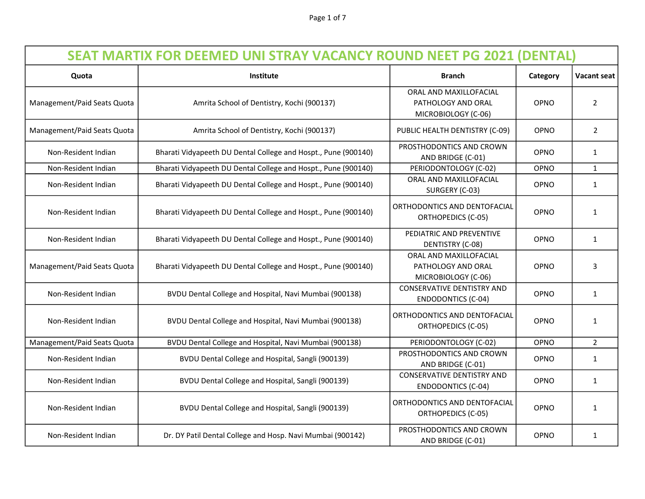Page 1 of 7

| <b>SEAT MARTIX FOR DEEMED UNI STRAY VACANCY ROUND NEET PG 2021 (DENTAL)</b> |                                                                |                                                                     |             |                    |  |
|-----------------------------------------------------------------------------|----------------------------------------------------------------|---------------------------------------------------------------------|-------------|--------------------|--|
| Quota                                                                       | <b>Institute</b>                                               | <b>Branch</b>                                                       | Category    | <b>Vacant seat</b> |  |
| Management/Paid Seats Quota                                                 | Amrita School of Dentistry, Kochi (900137)                     | ORAL AND MAXILLOFACIAL<br>PATHOLOGY AND ORAL<br>MICROBIOLOGY (C-06) | OPNO        | $\overline{2}$     |  |
| Management/Paid Seats Quota                                                 | Amrita School of Dentistry, Kochi (900137)                     | PUBLIC HEALTH DENTISTRY (C-09)                                      | OPNO        | $\overline{2}$     |  |
| Non-Resident Indian                                                         | Bharati Vidyapeeth DU Dental College and Hospt., Pune (900140) | PROSTHODONTICS AND CROWN<br>AND BRIDGE (C-01)                       | OPNO        | $\mathbf{1}$       |  |
| Non-Resident Indian                                                         | Bharati Vidyapeeth DU Dental College and Hospt., Pune (900140) | PERIODONTOLOGY (C-02)                                               | OPNO        | $\mathbf{1}$       |  |
| Non-Resident Indian                                                         | Bharati Vidyapeeth DU Dental College and Hospt., Pune (900140) | ORAL AND MAXILLOFACIAL<br>SURGERY (C-03)                            | <b>OPNO</b> | $\mathbf{1}$       |  |
| Non-Resident Indian                                                         | Bharati Vidyapeeth DU Dental College and Hospt., Pune (900140) | ORTHODONTICS AND DENTOFACIAL<br><b>ORTHOPEDICS (C-05)</b>           | OPNO        | $\mathbf{1}$       |  |
| Non-Resident Indian                                                         | Bharati Vidyapeeth DU Dental College and Hospt., Pune (900140) | PEDIATRIC AND PREVENTIVE<br>DENTISTRY (C-08)                        | OPNO        | $\mathbf{1}$       |  |
| Management/Paid Seats Quota                                                 | Bharati Vidyapeeth DU Dental College and Hospt., Pune (900140) | ORAL AND MAXILLOFACIAL<br>PATHOLOGY AND ORAL<br>MICROBIOLOGY (C-06) | OPNO        | 3                  |  |
| Non-Resident Indian                                                         | BVDU Dental College and Hospital, Navi Mumbai (900138)         | <b>CONSERVATIVE DENTISTRY AND</b><br><b>ENDODONTICS (C-04)</b>      | <b>OPNO</b> | 1                  |  |
| Non-Resident Indian                                                         | BVDU Dental College and Hospital, Navi Mumbai (900138)         | ORTHODONTICS AND DENTOFACIAL<br><b>ORTHOPEDICS (C-05)</b>           | OPNO        | $\mathbf{1}$       |  |
| Management/Paid Seats Quota                                                 | BVDU Dental College and Hospital, Navi Mumbai (900138)         | PERIODONTOLOGY (C-02)                                               | OPNO        | $\overline{2}$     |  |
| Non-Resident Indian                                                         | BVDU Dental College and Hospital, Sangli (900139)              | PROSTHODONTICS AND CROWN<br>AND BRIDGE (C-01)                       | OPNO        | 1                  |  |
| Non-Resident Indian                                                         | BVDU Dental College and Hospital, Sangli (900139)              | <b>CONSERVATIVE DENTISTRY AND</b><br><b>ENDODONTICS (C-04)</b>      | OPNO        | 1                  |  |
| Non-Resident Indian                                                         | BVDU Dental College and Hospital, Sangli (900139)              | ORTHODONTICS AND DENTOFACIAL<br><b>ORTHOPEDICS (C-05)</b>           | OPNO        | $\mathbf{1}$       |  |
| Non-Resident Indian                                                         | Dr. DY Patil Dental College and Hosp. Navi Mumbai (900142)     | PROSTHODONTICS AND CROWN<br>AND BRIDGE (C-01)                       | OPNO        | 1                  |  |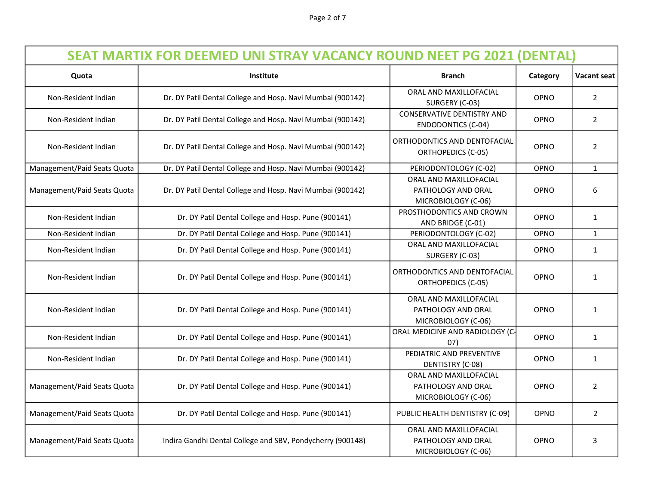| <b>SEAT MARTIX FOR DEEMED UNI STRAY VACANCY ROUND NEET PG 2021 (DENTAL)</b> |                                                            |                                                                     |             |                |
|-----------------------------------------------------------------------------|------------------------------------------------------------|---------------------------------------------------------------------|-------------|----------------|
| Quota                                                                       | Institute                                                  | <b>Branch</b>                                                       | Category    | Vacant seat    |
| Non-Resident Indian                                                         | Dr. DY Patil Dental College and Hosp. Navi Mumbai (900142) | ORAL AND MAXILLOFACIAL<br>SURGERY (C-03)                            | OPNO        | $\overline{2}$ |
| Non-Resident Indian                                                         | Dr. DY Patil Dental College and Hosp. Navi Mumbai (900142) | <b>CONSERVATIVE DENTISTRY AND</b><br><b>ENDODONTICS (C-04)</b>      | OPNO        | $\overline{2}$ |
| Non-Resident Indian                                                         | Dr. DY Patil Dental College and Hosp. Navi Mumbai (900142) | ORTHODONTICS AND DENTOFACIAL<br><b>ORTHOPEDICS (C-05)</b>           | <b>OPNO</b> | $\overline{2}$ |
| Management/Paid Seats Quota                                                 | Dr. DY Patil Dental College and Hosp. Navi Mumbai (900142) | PERIODONTOLOGY (C-02)                                               | OPNO        | $\mathbf{1}$   |
| Management/Paid Seats Quota                                                 | Dr. DY Patil Dental College and Hosp. Navi Mumbai (900142) | ORAL AND MAXILLOFACIAL<br>PATHOLOGY AND ORAL<br>MICROBIOLOGY (C-06) | OPNO        | 6              |
| Non-Resident Indian                                                         | Dr. DY Patil Dental College and Hosp. Pune (900141)        | PROSTHODONTICS AND CROWN<br>AND BRIDGE (C-01)                       | OPNO        | $\mathbf{1}$   |
| Non-Resident Indian                                                         | Dr. DY Patil Dental College and Hosp. Pune (900141)        | PERIODONTOLOGY (C-02)                                               | OPNO        | $\mathbf{1}$   |
| Non-Resident Indian                                                         | Dr. DY Patil Dental College and Hosp. Pune (900141)        | ORAL AND MAXILLOFACIAL<br>SURGERY (C-03)                            | <b>OPNO</b> | $\mathbf{1}$   |
| Non-Resident Indian                                                         | Dr. DY Patil Dental College and Hosp. Pune (900141)        | ORTHODONTICS AND DENTOFACIAL<br><b>ORTHOPEDICS (C-05)</b>           | <b>OPNO</b> | $\mathbf{1}$   |
| Non-Resident Indian                                                         | Dr. DY Patil Dental College and Hosp. Pune (900141)        | ORAL AND MAXILLOFACIAL<br>PATHOLOGY AND ORAL<br>MICROBIOLOGY (C-06) | <b>OPNO</b> | $\mathbf{1}$   |
| Non-Resident Indian                                                         | Dr. DY Patil Dental College and Hosp. Pune (900141)        | ORAL MEDICINE AND RADIOLOGY (C-<br>07)                              | OPNO        | $\mathbf{1}$   |
| Non-Resident Indian                                                         | Dr. DY Patil Dental College and Hosp. Pune (900141)        | PEDIATRIC AND PREVENTIVE<br>DENTISTRY (C-08)                        | <b>OPNO</b> | $\mathbf{1}$   |
| Management/Paid Seats Quota                                                 | Dr. DY Patil Dental College and Hosp. Pune (900141)        | ORAL AND MAXILLOFACIAL<br>PATHOLOGY AND ORAL<br>MICROBIOLOGY (C-06) | <b>OPNO</b> | 2              |
| Management/Paid Seats Quota                                                 | Dr. DY Patil Dental College and Hosp. Pune (900141)        | PUBLIC HEALTH DENTISTRY (C-09)                                      | OPNO        | $\overline{2}$ |
| Management/Paid Seats Quota                                                 | Indira Gandhi Dental College and SBV, Pondycherry (900148) | ORAL AND MAXILLOFACIAL<br>PATHOLOGY AND ORAL<br>MICROBIOLOGY (C-06) | OPNO        | 3              |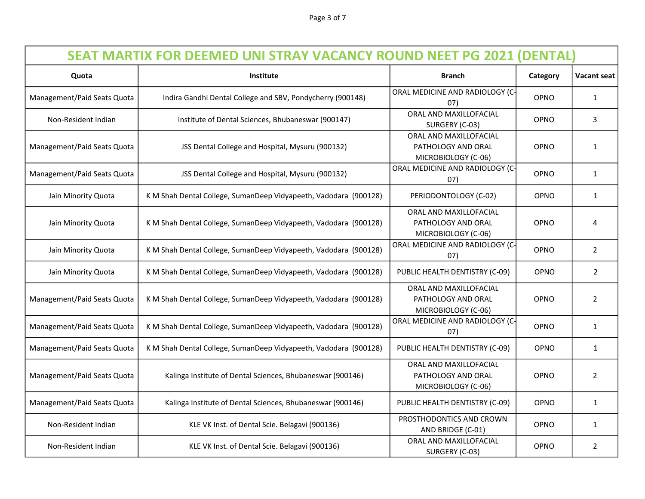| <b>SEAT MARTIX FOR DEEMED UNI STRAY VACANCY ROUND NEET PG 2021 (DENTAL)</b> |                                                                  |                                                                     |             |                    |
|-----------------------------------------------------------------------------|------------------------------------------------------------------|---------------------------------------------------------------------|-------------|--------------------|
| Quota                                                                       | Institute                                                        | <b>Branch</b>                                                       | Category    | <b>Vacant seat</b> |
| Management/Paid Seats Quota                                                 | Indira Gandhi Dental College and SBV, Pondycherry (900148)       | ORAL MEDICINE AND RADIOLOGY (C-<br>07)                              | OPNO        | 1                  |
| Non-Resident Indian                                                         | Institute of Dental Sciences, Bhubaneswar (900147)               | ORAL AND MAXILLOFACIAL<br>SURGERY (C-03)                            | OPNO        | 3                  |
| Management/Paid Seats Quota                                                 | JSS Dental College and Hospital, Mysuru (900132)                 | ORAL AND MAXILLOFACIAL<br>PATHOLOGY AND ORAL<br>MICROBIOLOGY (C-06) | OPNO        | $\mathbf{1}$       |
| Management/Paid Seats Quota                                                 | JSS Dental College and Hospital, Mysuru (900132)                 | ORAL MEDICINE AND RADIOLOGY (C-<br>07)                              | OPNO        | 1                  |
| Jain Minority Quota                                                         | K M Shah Dental College, SumanDeep Vidyapeeth, Vadodara (900128) | PERIODONTOLOGY (C-02)                                               | OPNO        | $\mathbf{1}$       |
| Jain Minority Quota                                                         | K M Shah Dental College, SumanDeep Vidyapeeth, Vadodara (900128) | ORAL AND MAXILLOFACIAL<br>PATHOLOGY AND ORAL<br>MICROBIOLOGY (C-06) | OPNO        | 4                  |
| Jain Minority Quota                                                         | K M Shah Dental College, SumanDeep Vidyapeeth, Vadodara (900128) | ORAL MEDICINE AND RADIOLOGY (C-<br>07)                              | OPNO        | $\overline{2}$     |
| Jain Minority Quota                                                         | K M Shah Dental College, SumanDeep Vidyapeeth, Vadodara (900128) | PUBLIC HEALTH DENTISTRY (C-09)                                      | OPNO        | $\overline{2}$     |
| Management/Paid Seats Quota                                                 | K M Shah Dental College, SumanDeep Vidyapeeth, Vadodara (900128) | ORAL AND MAXILLOFACIAL<br>PATHOLOGY AND ORAL<br>MICROBIOLOGY (C-06) | OPNO        | $\overline{2}$     |
| Management/Paid Seats Quota                                                 | K M Shah Dental College, SumanDeep Vidyapeeth, Vadodara (900128) | ORAL MEDICINE AND RADIOLOGY (C-<br>07)                              | OPNO        | 1                  |
| Management/Paid Seats Quota                                                 | K M Shah Dental College, SumanDeep Vidyapeeth, Vadodara (900128) | PUBLIC HEALTH DENTISTRY (C-09)                                      | OPNO        | $\mathbf{1}$       |
| Management/Paid Seats Quota                                                 | Kalinga Institute of Dental Sciences, Bhubaneswar (900146)       | ORAL AND MAXILLOFACIAL<br>PATHOLOGY AND ORAL<br>MICROBIOLOGY (C-06) | OPNO        | $\overline{2}$     |
| Management/Paid Seats Quota                                                 | Kalinga Institute of Dental Sciences, Bhubaneswar (900146)       | PUBLIC HEALTH DENTISTRY (C-09)                                      | <b>OPNO</b> | 1                  |
| Non-Resident Indian                                                         | KLE VK Inst. of Dental Scie. Belagavi (900136)                   | PROSTHODONTICS AND CROWN<br>AND BRIDGE (C-01)                       | OPNO        | $\mathbf{1}$       |
| Non-Resident Indian                                                         | KLE VK Inst. of Dental Scie. Belagavi (900136)                   | ORAL AND MAXILLOFACIAL<br>SURGERY (C-03)                            | OPNO        | $\overline{2}$     |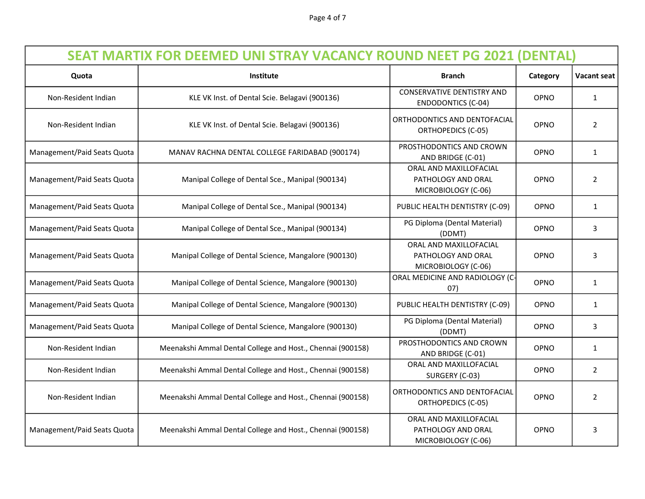Page 4 of 7

| <b>SEAT MARTIX FOR DEEMED UNI STRAY VACANCY ROUND NEET PG 2021 (DENTAL)</b> |                                                            |                                                                     |             |                    |  |
|-----------------------------------------------------------------------------|------------------------------------------------------------|---------------------------------------------------------------------|-------------|--------------------|--|
| Quota                                                                       | <b>Institute</b>                                           | <b>Branch</b>                                                       | Category    | <b>Vacant seat</b> |  |
| Non-Resident Indian                                                         | KLE VK Inst. of Dental Scie. Belagavi (900136)             | <b>CONSERVATIVE DENTISTRY AND</b><br><b>ENDODONTICS (C-04)</b>      | OPNO        | $\mathbf{1}$       |  |
| Non-Resident Indian                                                         | KLE VK Inst. of Dental Scie. Belagavi (900136)             | ORTHODONTICS AND DENTOFACIAL<br><b>ORTHOPEDICS (C-05)</b>           | OPNO        | $\overline{2}$     |  |
| Management/Paid Seats Quota                                                 | MANAV RACHNA DENTAL COLLEGE FARIDABAD (900174)             | PROSTHODONTICS AND CROWN<br>AND BRIDGE (C-01)                       | OPNO        | $\mathbf{1}$       |  |
| Management/Paid Seats Quota                                                 | Manipal College of Dental Sce., Manipal (900134)           | ORAL AND MAXILLOFACIAL<br>PATHOLOGY AND ORAL<br>MICROBIOLOGY (C-06) | OPNO        | $\overline{2}$     |  |
| Management/Paid Seats Quota                                                 | Manipal College of Dental Sce., Manipal (900134)           | PUBLIC HEALTH DENTISTRY (C-09)                                      | OPNO        | $\mathbf{1}$       |  |
| Management/Paid Seats Quota                                                 | Manipal College of Dental Sce., Manipal (900134)           | PG Diploma (Dental Material)<br>(DDMT)                              | <b>OPNO</b> | 3                  |  |
| Management/Paid Seats Quota                                                 | Manipal College of Dental Science, Mangalore (900130)      | ORAL AND MAXILLOFACIAL<br>PATHOLOGY AND ORAL<br>MICROBIOLOGY (C-06) | OPNO        | 3                  |  |
| Management/Paid Seats Quota                                                 | Manipal College of Dental Science, Mangalore (900130)      | ORAL MEDICINE AND RADIOLOGY (C-<br>07)                              | <b>OPNO</b> | $\mathbf{1}$       |  |
| Management/Paid Seats Quota                                                 | Manipal College of Dental Science, Mangalore (900130)      | PUBLIC HEALTH DENTISTRY (C-09)                                      | OPNO        | $\mathbf{1}$       |  |
| Management/Paid Seats Quota                                                 | Manipal College of Dental Science, Mangalore (900130)      | PG Diploma (Dental Material)<br>(DDMT)                              | OPNO        | 3                  |  |
| Non-Resident Indian                                                         | Meenakshi Ammal Dental College and Host., Chennai (900158) | PROSTHODONTICS AND CROWN<br>AND BRIDGE (C-01)                       | OPNO        | $\mathbf{1}$       |  |
| Non-Resident Indian                                                         | Meenakshi Ammal Dental College and Host., Chennai (900158) | ORAL AND MAXILLOFACIAL<br>SURGERY (C-03)                            | OPNO        | $\overline{2}$     |  |
| Non-Resident Indian                                                         | Meenakshi Ammal Dental College and Host., Chennai (900158) | ORTHODONTICS AND DENTOFACIAL<br><b>ORTHOPEDICS (C-05)</b>           | OPNO        | $\overline{2}$     |  |
| Management/Paid Seats Quota                                                 | Meenakshi Ammal Dental College and Host., Chennai (900158) | ORAL AND MAXILLOFACIAL<br>PATHOLOGY AND ORAL<br>MICROBIOLOGY (C-06) | OPNO        | 3                  |  |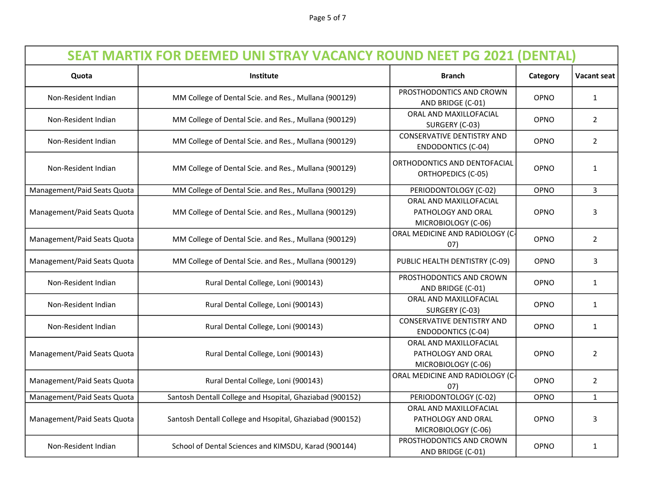Page 5 of 7

| <b>SEAT MARTIX FOR DEEMED UNI STRAY VACANCY ROUND NEET PG 2021 (DENTAL)</b> |                                                          |                                                                     |             |                    |
|-----------------------------------------------------------------------------|----------------------------------------------------------|---------------------------------------------------------------------|-------------|--------------------|
| Quota                                                                       | Institute                                                | <b>Branch</b>                                                       | Category    | <b>Vacant seat</b> |
| Non-Resident Indian                                                         | MM College of Dental Scie. and Res., Mullana (900129)    | PROSTHODONTICS AND CROWN<br>AND BRIDGE (C-01)                       | OPNO        | $\mathbf{1}$       |
| Non-Resident Indian                                                         | MM College of Dental Scie. and Res., Mullana (900129)    | ORAL AND MAXILLOFACIAL<br>SURGERY (C-03)                            | OPNO        | $\overline{2}$     |
| Non-Resident Indian                                                         | MM College of Dental Scie. and Res., Mullana (900129)    | <b>CONSERVATIVE DENTISTRY AND</b><br><b>ENDODONTICS (C-04)</b>      | OPNO        | $\overline{2}$     |
| Non-Resident Indian                                                         | MM College of Dental Scie. and Res., Mullana (900129)    | ORTHODONTICS AND DENTOFACIAL<br><b>ORTHOPEDICS (C-05)</b>           | OPNO        | $\mathbf{1}$       |
| Management/Paid Seats Quota                                                 | MM College of Dental Scie. and Res., Mullana (900129)    | PERIODONTOLOGY (C-02)                                               | OPNO        | 3                  |
| Management/Paid Seats Quota                                                 | MM College of Dental Scie. and Res., Mullana (900129)    | ORAL AND MAXILLOFACIAL<br>PATHOLOGY AND ORAL<br>MICROBIOLOGY (C-06) | OPNO        | 3                  |
| Management/Paid Seats Quota                                                 | MM College of Dental Scie. and Res., Mullana (900129)    | ORAL MEDICINE AND RADIOLOGY (C-<br>07)                              | OPNO        | $\overline{2}$     |
| Management/Paid Seats Quota                                                 | MM College of Dental Scie. and Res., Mullana (900129)    | PUBLIC HEALTH DENTISTRY (C-09)                                      | OPNO        | 3                  |
| Non-Resident Indian                                                         | Rural Dental College, Loni (900143)                      | PROSTHODONTICS AND CROWN<br>AND BRIDGE (C-01)                       | OPNO        | $\mathbf{1}$       |
| Non-Resident Indian                                                         | Rural Dental College, Loni (900143)                      | ORAL AND MAXILLOFACIAL<br>SURGERY (C-03)                            | OPNO        | $\mathbf{1}$       |
| Non-Resident Indian                                                         | Rural Dental College, Loni (900143)                      | <b>CONSERVATIVE DENTISTRY AND</b><br><b>ENDODONTICS (C-04)</b>      | OPNO        | $\mathbf{1}$       |
| Management/Paid Seats Quota                                                 | Rural Dental College, Loni (900143)                      | ORAL AND MAXILLOFACIAL<br>PATHOLOGY AND ORAL<br>MICROBIOLOGY (C-06) | OPNO        | $\overline{2}$     |
| Management/Paid Seats Quota                                                 | Rural Dental College, Loni (900143)                      | ORAL MEDICINE AND RADIOLOGY (C-<br>07)                              | OPNO        | $\overline{2}$     |
| Management/Paid Seats Quota                                                 | Santosh Dentall College and Hsopital, Ghaziabad (900152) | PERIODONTOLOGY (C-02)                                               | OPNO        | $\mathbf{1}$       |
| Management/Paid Seats Quota                                                 | Santosh Dentall College and Hsopital, Ghaziabad (900152) | ORAL AND MAXILLOFACIAL<br>PATHOLOGY AND ORAL<br>MICROBIOLOGY (C-06) | OPNO        | 3                  |
| Non-Resident Indian                                                         | School of Dental Sciences and KIMSDU, Karad (900144)     | PROSTHODONTICS AND CROWN<br>AND BRIDGE (C-01)                       | <b>OPNO</b> | $\mathbf{1}$       |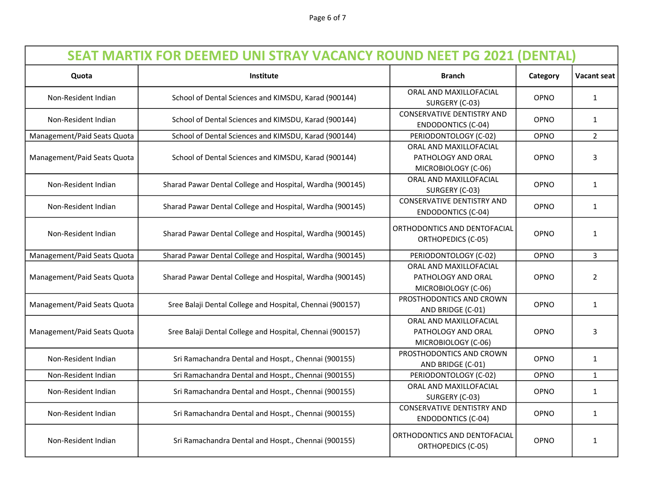Page 6 of 7

| <b>SEAT MARTIX FOR DEEMED UNI STRAY VACANCY ROUND NEET PG 2021 (DENTAL)</b> |                                                           |                                                                     |             |                |
|-----------------------------------------------------------------------------|-----------------------------------------------------------|---------------------------------------------------------------------|-------------|----------------|
| Quota                                                                       | Institute                                                 | <b>Branch</b>                                                       | Category    | Vacant seat    |
| Non-Resident Indian                                                         | School of Dental Sciences and KIMSDU, Karad (900144)      | ORAL AND MAXILLOFACIAL<br>SURGERY (C-03)                            | OPNO        | $\mathbf{1}$   |
| Non-Resident Indian                                                         | School of Dental Sciences and KIMSDU, Karad (900144)      | <b>CONSERVATIVE DENTISTRY AND</b><br><b>ENDODONTICS (C-04)</b>      | OPNO        | $\mathbf{1}$   |
| Management/Paid Seats Quota                                                 | School of Dental Sciences and KIMSDU, Karad (900144)      | PERIODONTOLOGY (C-02)                                               | OPNO        | $\overline{2}$ |
| Management/Paid Seats Quota                                                 | School of Dental Sciences and KIMSDU, Karad (900144)      | ORAL AND MAXILLOFACIAL<br>PATHOLOGY AND ORAL<br>MICROBIOLOGY (C-06) | OPNO        | 3              |
| Non-Resident Indian                                                         | Sharad Pawar Dental College and Hospital, Wardha (900145) | ORAL AND MAXILLOFACIAL<br>SURGERY (C-03)                            | OPNO        | 1              |
| Non-Resident Indian                                                         | Sharad Pawar Dental College and Hospital, Wardha (900145) | <b>CONSERVATIVE DENTISTRY AND</b><br><b>ENDODONTICS (C-04)</b>      | OPNO        | 1              |
| Non-Resident Indian                                                         | Sharad Pawar Dental College and Hospital, Wardha (900145) | ORTHODONTICS AND DENTOFACIAL<br><b>ORTHOPEDICS (C-05)</b>           | <b>OPNO</b> | 1              |
| Management/Paid Seats Quota                                                 | Sharad Pawar Dental College and Hospital, Wardha (900145) | PERIODONTOLOGY (C-02)                                               | OPNO        | $\overline{3}$ |
| Management/Paid Seats Quota                                                 | Sharad Pawar Dental College and Hospital, Wardha (900145) | ORAL AND MAXILLOFACIAL<br>PATHOLOGY AND ORAL<br>MICROBIOLOGY (C-06) | OPNO        | $\overline{2}$ |
| Management/Paid Seats Quota                                                 | Sree Balaji Dental College and Hospital, Chennai (900157) | PROSTHODONTICS AND CROWN<br>AND BRIDGE (C-01)                       | OPNO        | $\mathbf{1}$   |
| Management/Paid Seats Quota                                                 | Sree Balaji Dental College and Hospital, Chennai (900157) | ORAL AND MAXILLOFACIAL<br>PATHOLOGY AND ORAL<br>MICROBIOLOGY (C-06) | OPNO        | 3              |
| Non-Resident Indian                                                         | Sri Ramachandra Dental and Hospt., Chennai (900155)       | PROSTHODONTICS AND CROWN<br>AND BRIDGE (C-01)                       | OPNO        | $\mathbf{1}$   |
| Non-Resident Indian                                                         | Sri Ramachandra Dental and Hospt., Chennai (900155)       | PERIODONTOLOGY (C-02)                                               | OPNO        | $\mathbf{1}$   |
| Non-Resident Indian                                                         | Sri Ramachandra Dental and Hospt., Chennai (900155)       | ORAL AND MAXILLOFACIAL<br>SURGERY (C-03)                            | OPNO        | 1              |
| Non-Resident Indian                                                         | Sri Ramachandra Dental and Hospt., Chennai (900155)       | <b>CONSERVATIVE DENTISTRY AND</b><br><b>ENDODONTICS (C-04)</b>      | OPNO        | $\mathbf{1}$   |
| Non-Resident Indian                                                         | Sri Ramachandra Dental and Hospt., Chennai (900155)       | ORTHODONTICS AND DENTOFACIAL<br>ORTHOPEDICS (C-05)                  | <b>OPNO</b> | $\mathbf{1}$   |